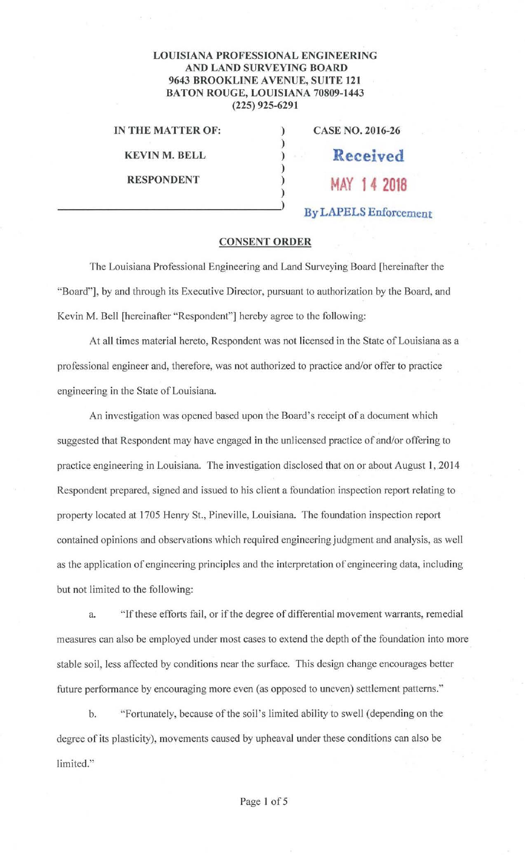## **LOUISIANA PROFESSIONAL ENGINEERING AND LAND SURVEYING BOARD 9643 BROOKLINE AVENUE, SUITE 121 BATON ROUGE, LOUISIANA 70809-1443 (225) 925-6291**

)

)

**IN THE MATTER OF:** ) **CASE NO. 2016-26** 

**KEVIN M. BELL** ) **Received** 

**RESPONDENT** ) **MAY 14 2018** )

) **By LAPELS Enforcement** 

## **CONSENT ORDER**

The Louisiana Professional Engineering and Land Surveying Board [hereinafter the "Board"], by and through its Executive Director, pursuant to authorization by the Board, and Kevin M. Bell [hereinafter "Respondent"] hereby agree to the following:

At all times material hereto, Respondent was not licensed in the State of Louisiana as a professional engineer and, therefore, was not authorized to practice and/or offer to practice engineering in the State of Louisiana.

An investigation was opened based upon the Board's receipt of a document which suggested that Respondent may have engaged in the unlicensed practice of and/or offering to practice engineering in Louisiana. The investigation disclosed that on or about August I, 2014 Respondent prepared, signed and issued to his client a foundation inspection report relating to property located at 1705 Henry St., Pineville, Louisiana. The foundation inspection report contained opinions and observations which required engineering judgment and analysis, as well as the application of engineering principles and the interpretation of engineering data, including but not limited to the following:

a. "If these efforts fail, or if the degree of differential movement warrants, remedial measures can also be employed under most cases to extend the depth of the foundation into more stable soil, less affected by conditions near the surface. This design change encourages better future performance by encouraging more even (as opposed to uneven) settlement patterns."

b. "Fortunately, because of the soil's limited ability to swell (depending on the degree of its plasticity), movements caused by upheaval under these conditions can also be limited."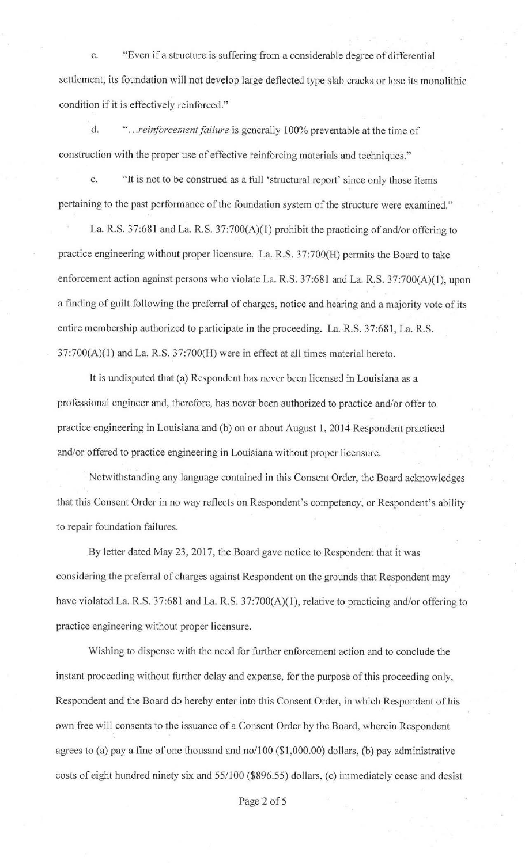c. "Even if a structure is suffering from a considerable degree of differential settlement, its foundation will not develop large deflected type slab cracks or lose its monolithic condition if it is effectively reinforced."

d. " .. *. reiriforcement failure* is generally I 00% preventable at the time of construction with the proper use of effective reinforcing materials and techniques."

e. "It is not to be construed as a full 'structural report' since only those items pertaining to the past performance of the foundation system of the structure were examined."

La. R.S. 37:681 and La. R.S. 37:700(A)(l) prohibit the practicing of and/or offering to practice engineering without proper licensure. La. R.S. 37:700(H) permits the Board to take enforcement action against persons who violate La. R.S. 37:681 and La. R.S. 37:700(A)(1), upon a finding of guilt following the preferral of charges, notice and hearing and a majority vote of its entire membership authorized to participate in the proceeding. La. R.S. 37:681, La. R.S.  $37:700(A)(1)$  and La. R.S.  $37:700(H)$  were in effect at all times material hereto.

It is undisputed that (a) Respondent has never been licensed in Louisiana as a professional engineer and, therefore, has never been authorized to practice and/or offer to practice engineering in Louisiana and (b) on or about August 1, 2014 Respondent practiced and/or offered to practice engineering in Louisiana without proper licensure.

Notwithstanding any language contained in this Consent Order, the Board acknowledges that this Consent Order in no way reflects on Respondent's competency, or Respondent's ability to repair foundation failures.

By letter dated May 23, 2017, the Board gave notice to Respondent that it was considering the preferral of charges against Respondent on the grounds that Respondent may have violated La. R.S. 37:681 and La. R.S. 37:700(A)(1), relative to practicing and/or offering to practice engineering without proper licensure.

Wishing to dispense with the need for further enforcement action and to conclude the instant proceeding without further delay and expense, for the purpose of this proceeding only, Respondent and the Board do hereby enter into this Consent Order, in which Respondent of his own free will consents to the issuance of a Consent Order by the Board, wherein Respondent agrees to (a) pay a fine of one thousand and no/100 (\$1,000.00) dollars, (b) pay administrative costs of eight hundred ninety six and 55/100 (\$896.55) dollars, (c) immediately cease and desist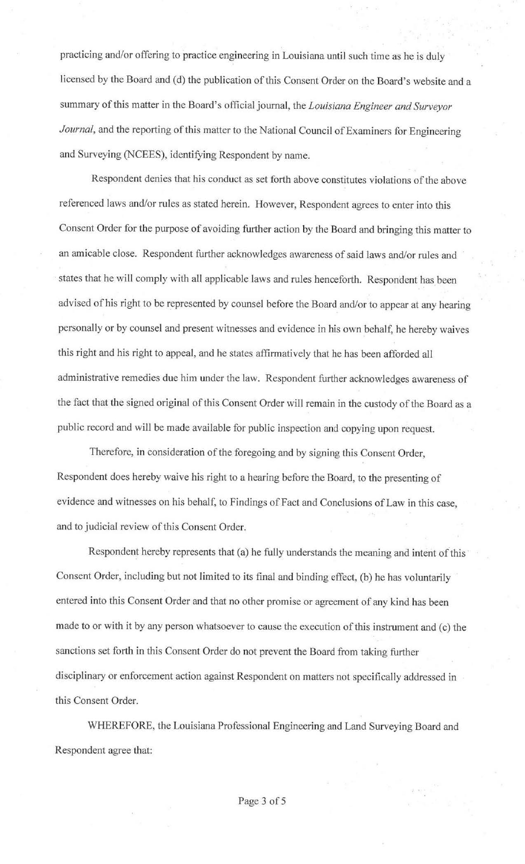practicing and/or offering to practice engineering in Louisiana until such time as he is duly licensed by the Board and (d) the publication of this Consent Order on the Board's website and a summary of this matter in the Board's official journal, the *Louisiana Engineer and Surveyor Journal,* and the reporting of this matter to the National Council of Examiners for Engineering and Surveying (NCEES), identifying Respondent by name.

Respondent denies that his conduct as set forth above constitutes violations of the above referenced laws and/or rules as stated herein. However, Respondent agrees to enter into this Consent Order for the purpose of avoiding further action by the Board and bringing this matter to an amicable close. Respondent further acknowledges awareness of said laws and/or rules and states that he will comply with all applicable laws and rules henceforth. Respondent has been advised of his right to be represented by counsel before the Board and/or to appear at any hearing personally or by counsel and present witnesses and evidence in his own behalf, he hereby waives this right and his right to appeal, and he states affirmatively that he has been afforded all administrative remedies due him under the Jaw. Respondent further acknowledges awareness of the fact that the signed original of this Consent Order will remain in the custody of the Board as a public record and will be made available for public inspection and copying upon request.

Therefore, in consideration of the foregoing and by signing this Consent Order, Respondent does hereby waive his right to a hearing before the Board, to the presenting of evidence and witnesses on his behalf, to Findings of Fact and Conclusions of Law in this case, and to judicial review of this Consent Order.

Respondent hereby represents that (a) he fully understands the meaning and interit of this Consent Order, including but not limited to its final and binding effect, (b) he has voluntarily entered into this Consent Order and that no other promise or agreement of any kind has been made to or with it by any person whatsoever to cause the execution of this instrument and (c) the sanctions set forth in this Consent Order do not prevent the Board from taking futther disciplinary or enforcement action against Respondent on matters not specifically addressed in this Consent Order.

WHEREFORE, the Louisiana Professional Engineering and Land Surveying Board and Respondent agree that: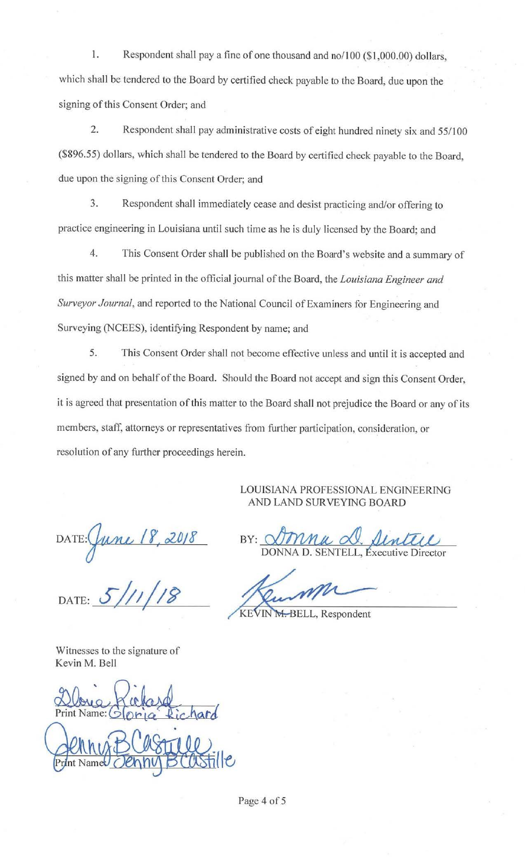1. Respondent shall pay a fine of one thousand and no/100 (\$1,000.00) dollars, which shall be tendered to the Board by certified check payable to the Board, due upon the signing of this Consent Order; and

2. Respondent shall pay administrative costs of eight hundred ninety six and 55/100 (\$896.55) dollars, which shall be tendered to the Board by certified check payable to the Board, due upon the signing of this Consent Order; and

3. Respondent shall immediately cease and desist practicing and/or offering to practice engineering in Louisiana until such time as he is duly licensed by the Board; and

4. This Consent Order shall be published on the Board's website and a summary of this matter shall be printed in the official journal of the Board, the *Louisiana Engineer and Surveyor Journal*, and reported to the National Council of Examiners for Engineering and Surveying (NCEES), identifying Respondent by name; and

5. This Consent Order shall not become effective unless and until it is accepted and signed by and on behalf of the Board. Should the Board not accept and sign this Consent Order, it is agreed that presentation of this matter to the Board shall not prejudice the Board or any of its members, staff, attorneys or representatives from further participation, consideration, or resolution of any further proceedings herein.

> LOUISIANA PROFESSIONAL ENGINEERING AND LAND SURVEYING BOARD

DATE: 5/11/18

Witnesses to the signature of Kevin M. Bell

Print Name: hard

BY: Donna <u>D. Sintere</u> DONNA D. SENTELL, Executive Director AND LAND SURVEYING BOARD<br>BY: STIMMA D. SENTELL, Executive Director

Page 4 of 5